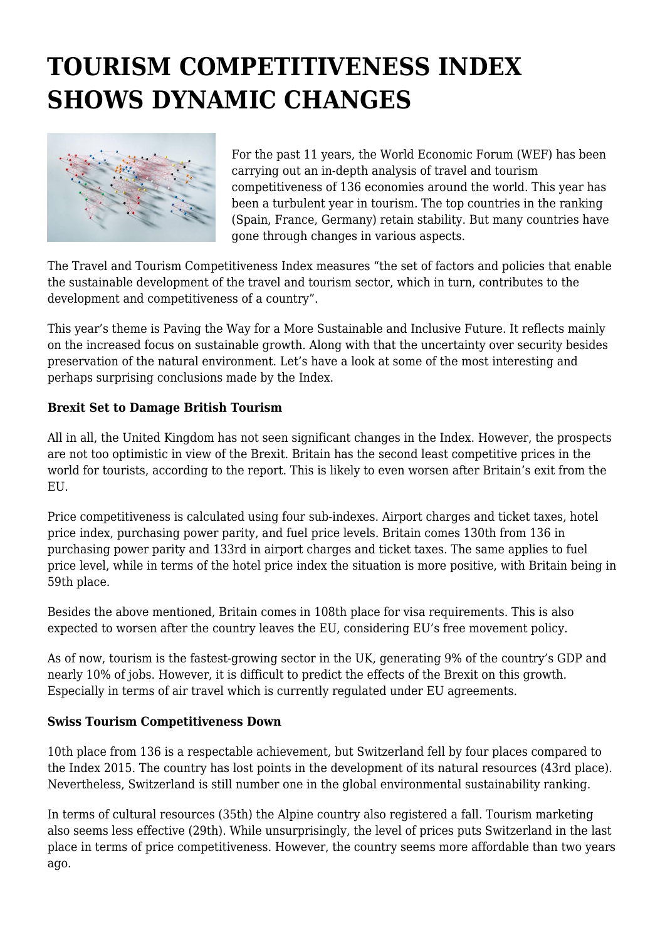# **TOURISM COMPETITIVENESS INDEX SHOWS DYNAMIC CHANGES**



For the past 11 years, the World Economic Forum (WEF) has been carrying out an in-depth analysis of travel and tourism competitiveness of 136 economies around the world. This year has been a turbulent year in tourism. The top countries in the ranking (Spain, France, Germany) retain stability. But many countries have gone through changes in various aspects.

The Travel and Tourism Competitiveness Index measures "the set of factors and policies that enable the sustainable development of the travel and tourism sector, which in turn, contributes to the development and competitiveness of a country".

This year's theme is Paving the Way for a More Sustainable and Inclusive Future. It reflects mainly on the increased focus on sustainable growth. Along with that the uncertainty over security besides preservation of the natural environment. Let's have a look at some of the most interesting and perhaps surprising conclusions made by the Index.

#### **Brexit Set to Damage British Tourism**

All in all, the United Kingdom has not seen significant changes in the Index. However, the prospects are not too optimistic in view of the Brexit. Britain has the second least competitive prices in the world for tourists, according to the report. This is likely to even worsen after Britain's exit from the EU.

Price competitiveness is calculated using four sub-indexes. Airport charges and ticket taxes, hotel price index, purchasing power parity, and fuel price levels. Britain comes 130th from 136 in purchasing power parity and 133rd in airport charges and ticket taxes. The same applies to fuel price level, while in terms of the hotel price index the situation is more positive, with Britain being in 59th place.

Besides the above mentioned, Britain comes in 108th place for visa requirements. This is also expected to worsen after the country leaves the EU, considering EU's free movement policy.

As of now, tourism is the fastest-growing sector in the UK, generating 9% of the country's GDP and nearly 10% of jobs. However, it is difficult to predict the effects of the Brexit on this growth. Especially in terms of air travel which is currently regulated under EU agreements.

#### **Swiss Tourism Competitiveness Down**

10th place from 136 is a respectable achievement, but Switzerland fell by four places compared to the Index 2015. The country has lost points in the development of its natural resources (43rd place). Nevertheless, Switzerland is still number one in the global environmental sustainability ranking.

In terms of cultural resources (35th) the Alpine country also registered a fall. Tourism marketing also seems less effective (29th). While unsurprisingly, the level of prices puts Switzerland in the last place in terms of price competitiveness. However, the country seems more affordable than two years ago.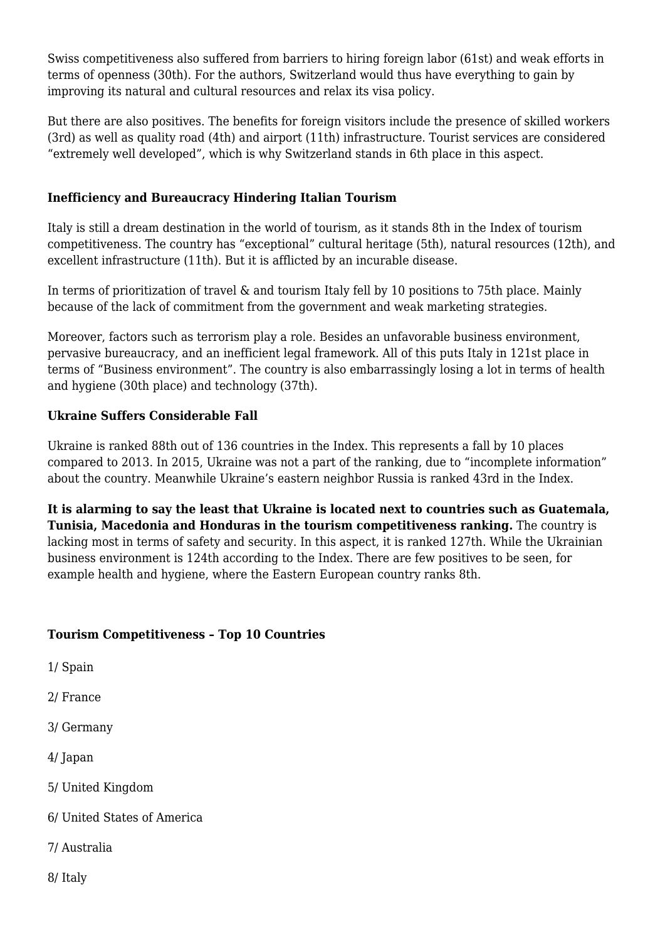Swiss competitiveness also suffered from barriers to hiring foreign labor (61st) and weak efforts in terms of openness (30th). For the authors, Switzerland would thus have everything to gain by improving its natural and cultural resources and relax its visa policy.

But there are also positives. The benefits for foreign visitors include the presence of skilled workers (3rd) as well as quality road (4th) and airport (11th) infrastructure. Tourist services are considered "extremely well developed", which is why Switzerland stands in 6th place in this aspect.

### **Inefficiency and Bureaucracy Hindering Italian Tourism**

Italy is still a dream destination in the world of tourism, as it stands 8th in the Index of tourism competitiveness. The country has "exceptional" cultural heritage (5th), natural resources (12th), and excellent infrastructure (11th). But it is afflicted by an incurable disease.

In terms of prioritization of travel & and tourism Italy fell by 10 positions to 75th place. Mainly because of the lack of commitment from the government and weak marketing strategies.

Moreover, factors such as terrorism play a role. Besides an unfavorable business environment, pervasive bureaucracy, and an inefficient legal framework. All of this puts Italy in 121st place in terms of "Business environment". The country is also embarrassingly losing a lot in terms of health and hygiene (30th place) and technology (37th).

### **Ukraine Suffers Considerable Fall**

Ukraine is ranked 88th out of 136 countries in the Index. This represents a fall by 10 places compared to 2013. In 2015, Ukraine was not a part of the ranking, due to "incomplete information" about the country. Meanwhile Ukraine's eastern neighbor Russia is ranked 43rd in the Index.

**It is alarming to say the least that Ukraine is located next to countries such as Guatemala, Tunisia, Macedonia and Honduras in the tourism competitiveness ranking.** The country is lacking most in terms of safety and security. In this aspect, it is ranked 127th. While the Ukrainian business environment is 124th according to the Index. There are few positives to be seen, for example health and hygiene, where the Eastern European country ranks 8th.

## **Tourism Competitiveness – Top 10 Countries**

- 1/ Spain
- 2/ France
- 3/ Germany
- 4/ Japan
- 5/ United Kingdom
- 6/ United States of America
- 7/ Australia
- 8/ Italy